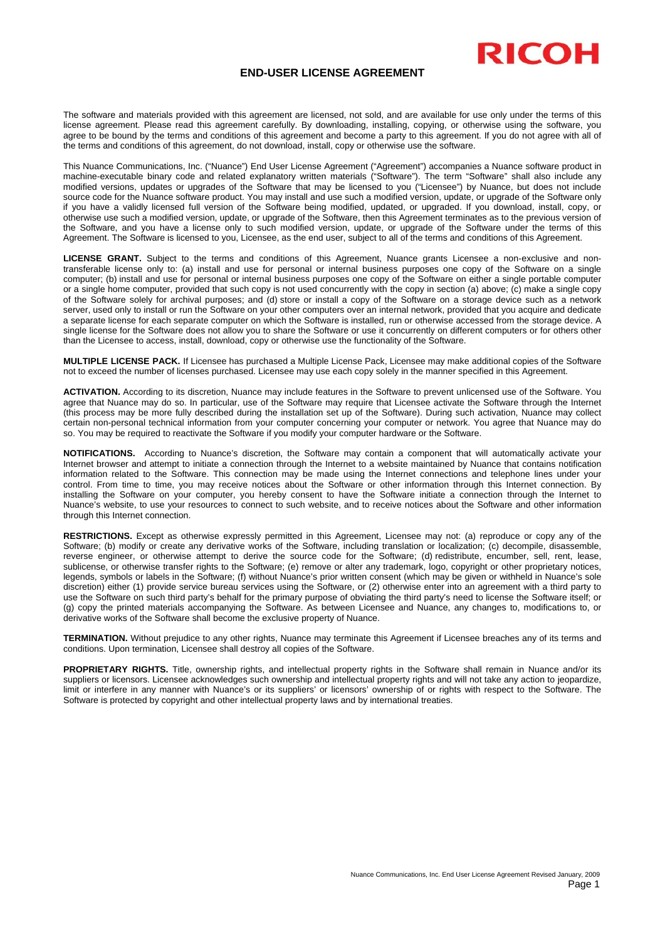## **END-USER LICENSE AGREEMENT**

RICOH

The software and materials provided with this agreement are licensed, not sold, and are available for use only under the terms of this license agreement. Please read this agreement carefully. By downloading, installing, copying, or otherwise using the software, you agree to be bound by the terms and conditions of this agreement and become a party to this agreement. If you do not agree with all of the terms and conditions of this agreement, do not download, install, copy or otherwise use the software.

This Nuance Communications, Inc. ("Nuance") End User License Agreement ("Agreement") accompanies a Nuance software product in machine-executable binary code and related explanatory written materials ("Software"). The term "Software" shall also include any modified versions, updates or upgrades of the Software that may be licensed to you ("Licensee") by Nuance, but does not include source code for the Nuance software product. You may install and use such a modified version, update, or upgrade of the Software only if you have a validly licensed full version of the Software being modified, updated, or upgraded. If you download, install, copy, or otherwise use such a modified version, update, or upgrade of the Software, then this Agreement terminates as to the previous version of the Software, and you have a license only to such modified version, update, or upgrade of the Software under the terms of this Agreement. The Software is licensed to you, Licensee, as the end user, subject to all of the terms and conditions of this Agreement.

**LICENSE GRANT.** Subject to the terms and conditions of this Agreement, Nuance grants Licensee a non-exclusive and nontransferable license only to: (a) install and use for personal or internal business purposes one copy of the Software on a single computer; (b) install and use for personal or internal business purposes one copy of the Software on either a single portable computer or a single home computer, provided that such copy is not used concurrently with the copy in section (a) above; (c) make a single copy of the Software solely for archival purposes; and (d) store or install a copy of the Software on a storage device such as a network server, used only to install or run the Software on your other computers over an internal network, provided that you acquire and dedicate a separate license for each separate computer on which the Software is installed, run or otherwise accessed from the storage device. A single license for the Software does not allow you to share the Software or use it concurrently on different computers or for others other than the Licensee to access, install, download, copy or otherwise use the functionality of the Software.

**MULTIPLE LICENSE PACK.** If Licensee has purchased a Multiple License Pack, Licensee may make additional copies of the Software not to exceed the number of licenses purchased. Licensee may use each copy solely in the manner specified in this Agreement.

**ACTIVATION.** According to its discretion, Nuance may include features in the Software to prevent unlicensed use of the Software. You agree that Nuance may do so. In particular, use of the Software may require that Licensee activate the Software through the Internet (this process may be more fully described during the installation set up of the Software). During such activation, Nuance may collect certain non-personal technical information from your computer concerning your computer or network. You agree that Nuance may do so. You may be required to reactivate the Software if you modify your computer hardware or the Software.

**NOTIFICATIONS.** According to Nuance's discretion, the Software may contain a component that will automatically activate your Internet browser and attempt to initiate a connection through the Internet to a website maintained by Nuance that contains notification information related to the Software. This connection may be made using the Internet connections and telephone lines under your control. From time to time, you may receive notices about the Software or other information through this Internet connection. By installing the Software on your computer, you hereby consent to have the Software initiate a connection through the Internet to Nuance's website, to use your resources to connect to such website, and to receive notices about the Software and other information through this Internet connection.

**RESTRICTIONS.** Except as otherwise expressly permitted in this Agreement, Licensee may not: (a) reproduce or copy any of the Software; (b) modify or create any derivative works of the Software, including translation or localization; (c) decompile, disassemble, reverse engineer, or otherwise attempt to derive the source code for the Software; (d) redistribute, encumber, sell, rent, lease, sublicense, or otherwise transfer rights to the Software; (e) remove or alter any trademark, logo, copyright or other proprietary notices, legends, symbols or labels in the Software; (f) without Nuance's prior written consent (which may be given or withheld in Nuance's sole discretion) either (1) provide service bureau services using the Software, or (2) otherwise enter into an agreement with a third party to use the Software on such third party's behalf for the primary purpose of obviating the third party's need to license the Software itself; or (g) copy the printed materials accompanying the Software. As between Licensee and Nuance, any changes to, modifications to, or derivative works of the Software shall become the exclusive property of Nuance.

**TERMINATION.** Without prejudice to any other rights, Nuance may terminate this Agreement if Licensee breaches any of its terms and conditions. Upon termination, Licensee shall destroy all copies of the Software.

**PROPRIETARY RIGHTS.** Title, ownership rights, and intellectual property rights in the Software shall remain in Nuance and/or its suppliers or licensors. Licensee acknowledges such ownership and intellectual property rights and will not take any action to jeopardize, limit or interfere in any manner with Nuance's or its suppliers' or licensors' ownership of or rights with respect to the Software. The Software is protected by copyright and other intellectual property laws and by international treaties.